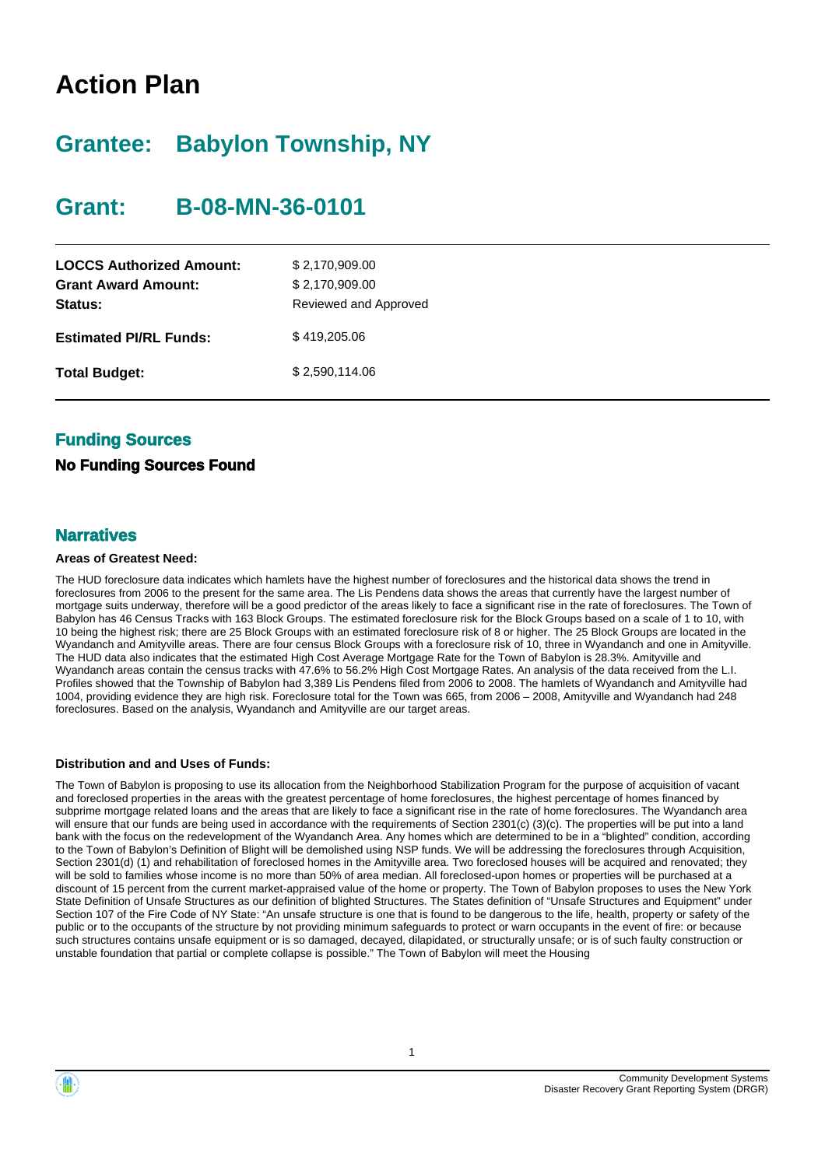# **Action Plan**

# **Grantee: Babylon Township, NY**

# **Grant: B-08-MN-36-0101**

| <b>LOCCS Authorized Amount:</b><br><b>Grant Award Amount:</b><br>Status: | \$2,170,909.00<br>\$2,170,909.00<br>Reviewed and Approved |
|--------------------------------------------------------------------------|-----------------------------------------------------------|
| <b>Estimated PI/RL Funds:</b>                                            | \$419,205.06                                              |
| <b>Total Budget:</b>                                                     | \$2,590,114.06                                            |

# **Funding Sources**

# **No Funding Sources Found**

# **Narratives**

## **Areas of Greatest Need:**

The HUD foreclosure data indicates which hamlets have the highest number of foreclosures and the historical data shows the trend in foreclosures from 2006 to the present for the same area. The Lis Pendens data shows the areas that currently have the largest number of mortgage suits underway, therefore will be a good predictor of the areas likely to face a significant rise in the rate of foreclosures. The Town of Babylon has 46 Census Tracks with 163 Block Groups. The estimated foreclosure risk for the Block Groups based on a scale of 1 to 10, with 10 being the highest risk; there are 25 Block Groups with an estimated foreclosure risk of 8 or higher. The 25 Block Groups are located in the Wyandanch and Amityville areas. There are four census Block Groups with a foreclosure risk of 10, three in Wyandanch and one in Amityville. The HUD data also indicates that the estimated High Cost Average Mortgage Rate for the Town of Babylon is 28.3%. Amityville and Wyandanch areas contain the census tracks with 47.6% to 56.2% High Cost Mortgage Rates. An analysis of the data received from the L.I. Profiles showed that the Township of Babylon had 3,389 Lis Pendens filed from 2006 to 2008. The hamlets of Wyandanch and Amityville had 1004, providing evidence they are high risk. Foreclosure total for the Town was 665, from 2006 – 2008, Amityville and Wyandanch had 248 foreclosures. Based on the analysis, Wyandanch and Amityville are our target areas.

## **Distribution and and Uses of Funds:**

The Town of Babylon is proposing to use its allocation from the Neighborhood Stabilization Program for the purpose of acquisition of vacant and foreclosed properties in the areas with the greatest percentage of home foreclosures, the highest percentage of homes financed by subprime mortgage related loans and the areas that are likely to face a significant rise in the rate of home foreclosures. The Wyandanch area will ensure that our funds are being used in accordance with the requirements of Section 2301(c) (3)(c). The properties will be put into a land bank with the focus on the redevelopment of the Wyandanch Area. Any homes which are determined to be in a "blighted" condition, according to the Town of Babylon's Definition of Blight will be demolished using NSP funds. We will be addressing the foreclosures through Acquisition, Section 2301(d) (1) and rehabilitation of foreclosed homes in the Amityville area. Two foreclosed houses will be acquired and renovated; they will be sold to families whose income is no more than 50% of area median. All foreclosed-upon homes or properties will be purchased at a discount of 15 percent from the current market-appraised value of the home or property. The Town of Babylon proposes to uses the New York State Definition of Unsafe Structures as our definition of blighted Structures. The States definition of "Unsafe Structures and Equipment" under Section 107 of the Fire Code of NY State: "An unsafe structure is one that is found to be dangerous to the life, health, property or safety of the public or to the occupants of the structure by not providing minimum safeguards to protect or warn occupants in the event of fire: or because such structures contains unsafe equipment or is so damaged, decayed, dilapidated, or structurally unsafe; or is of such faulty construction or unstable foundation that partial or complete collapse is possible." The Town of Babylon will meet the Housing





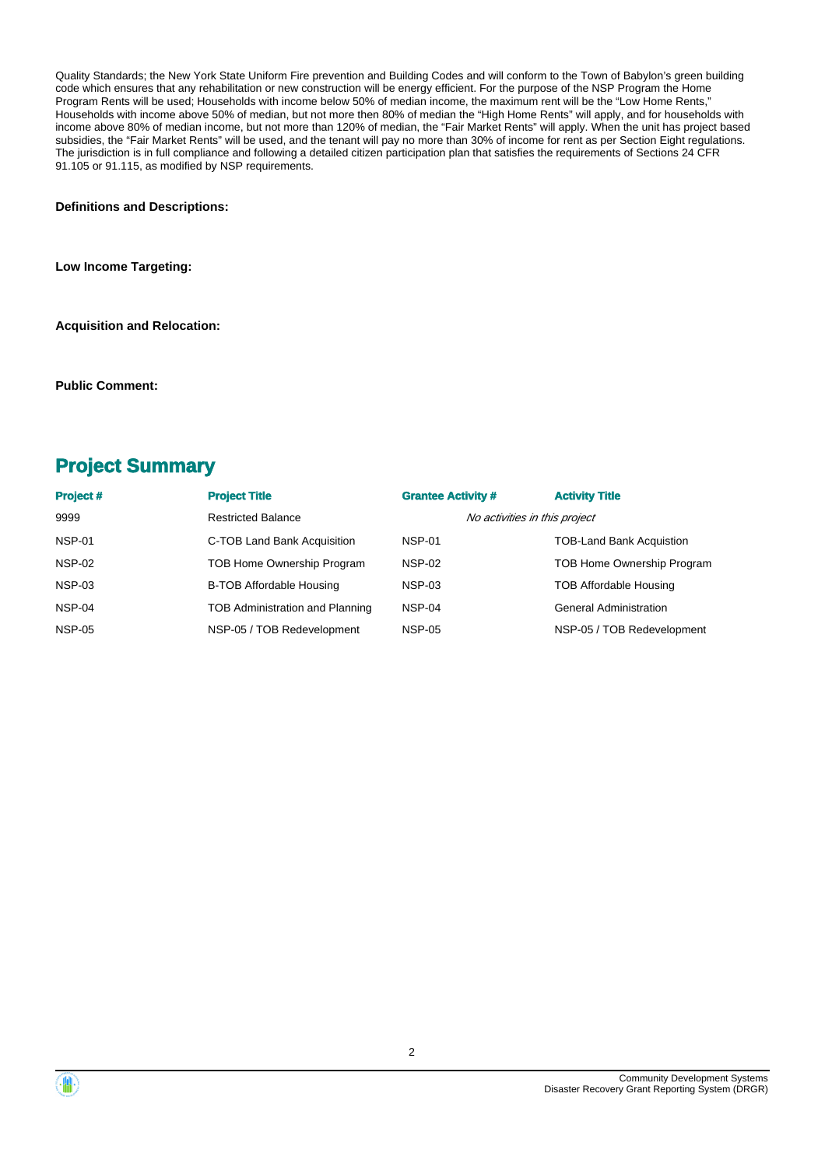Quality Standards; the New York State Uniform Fire prevention and Building Codes and will conform to the Town of Babylon's green building code which ensures that any rehabilitation or new construction will be energy efficient. For the purpose of the NSP Program the Home Program Rents will be used; Households with income below 50% of median income, the maximum rent will be the "Low Home Rents," Households with income above 50% of median, but not more then 80% of median the "High Home Rents" will apply, and for households with income above 80% of median income, but not more than 120% of median, the "Fair Market Rents" will apply. When the unit has project based subsidies, the "Fair Market Rents" will be used, and the tenant will pay no more than 30% of income for rent as per Section Eight regulations. The jurisdiction is in full compliance and following a detailed citizen participation plan that satisfies the requirements of Sections 24 CFR 91.105 or 91.115, as modified by NSP requirements.

**Definitions and Descriptions:**

**Low Income Targeting:**

**Acquisition and Relocation:**

**Public Comment:**

# **Project Summary**

| <b>Project#</b> | <b>Project Title</b>            | <b>Grantee Activity #</b>     | <b>Activity Title</b>           |
|-----------------|---------------------------------|-------------------------------|---------------------------------|
| 9999            | <b>Restricted Balance</b>       | No activities in this project |                                 |
| NSP-01          | C-TOB Land Bank Acquisition     | <b>NSP-01</b>                 | <b>TOB-Land Bank Acquistion</b> |
| <b>NSP-02</b>   | TOB Home Ownership Program      | <b>NSP-02</b>                 | TOB Home Ownership Program      |
| NSP-03          | <b>B-TOB Affordable Housing</b> | <b>NSP-03</b>                 | <b>TOB Affordable Housing</b>   |
| NSP-04          | TOB Administration and Planning | NSP-04                        | <b>General Administration</b>   |
| <b>NSP-05</b>   | NSP-05 / TOB Redevelopment      | <b>NSP-05</b>                 | NSP-05 / TOB Redevelopment      |

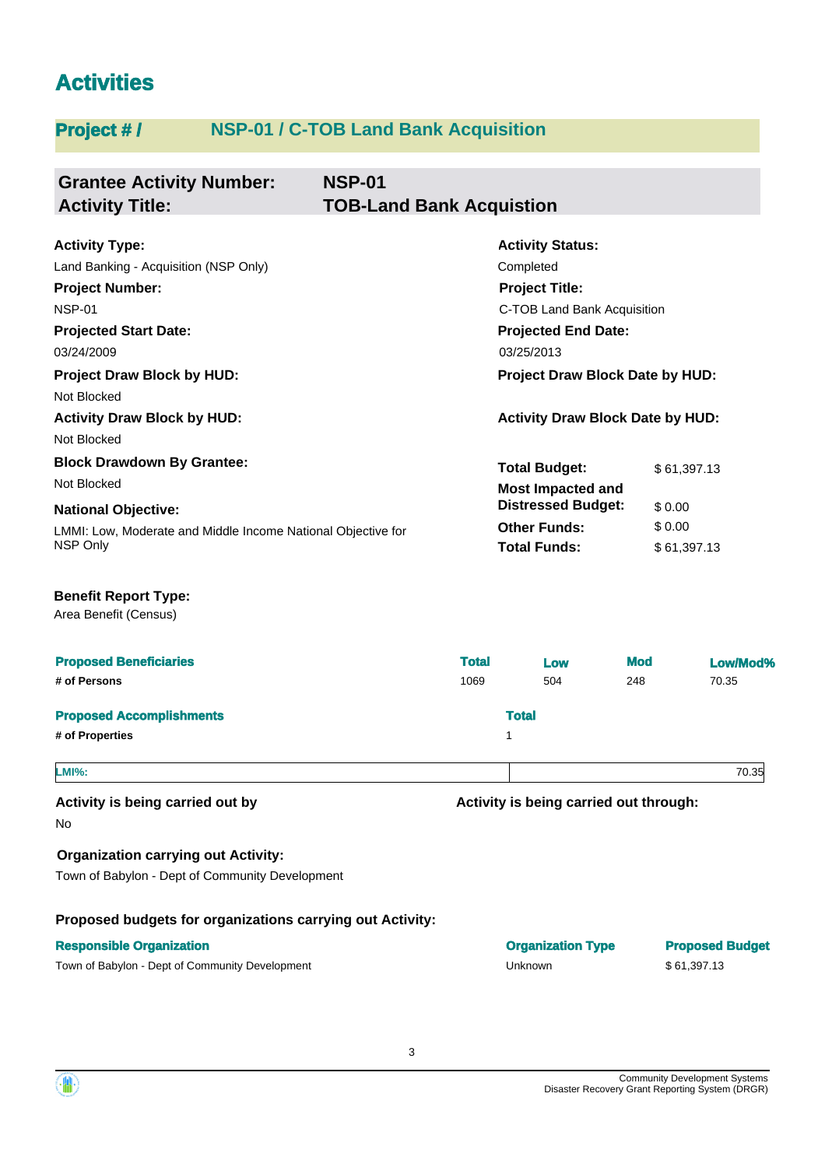# **Activities**

# **Project # / NSP-01 / C-TOB Land Bank Acquisition**

| <b>Grantee Activity Number:</b>                                          | <b>NSP-01</b>                   |                                            |            |        |             |
|--------------------------------------------------------------------------|---------------------------------|--------------------------------------------|------------|--------|-------------|
| <b>Activity Title:</b>                                                   | <b>TOB-Land Bank Acquistion</b> |                                            |            |        |             |
| <b>Activity Type:</b>                                                    |                                 | <b>Activity Status:</b>                    |            |        |             |
| Land Banking - Acquisition (NSP Only)                                    |                                 | Completed                                  |            |        |             |
| <b>Project Number:</b>                                                   |                                 | <b>Project Title:</b>                      |            |        |             |
| <b>NSP-01</b>                                                            | C-TOB Land Bank Acquisition     |                                            |            |        |             |
| <b>Projected Start Date:</b>                                             |                                 | <b>Projected End Date:</b>                 |            |        |             |
| 03/24/2009                                                               |                                 | 03/25/2013                                 |            |        |             |
| <b>Project Draw Block by HUD:</b><br>Not Blocked                         |                                 | Project Draw Block Date by HUD:            |            |        |             |
| <b>Activity Draw Block by HUD:</b><br>Not Blocked                        |                                 | <b>Activity Draw Block Date by HUD:</b>    |            |        |             |
| <b>Block Drawdown By Grantee:</b>                                        |                                 | <b>Total Budget:</b>                       |            |        | \$61,397.13 |
| Not Blocked                                                              |                                 | <b>Most Impacted and</b>                   |            |        |             |
| <b>National Objective:</b>                                               |                                 | <b>Distressed Budget:</b>                  |            | \$0.00 |             |
| LMMI: Low, Moderate and Middle Income National Objective for<br>NSP Only |                                 | <b>Other Funds:</b><br><b>Total Funds:</b> |            | \$0.00 | \$61,397.13 |
| <b>Benefit Report Type:</b><br>Area Benefit (Census)                     |                                 |                                            |            |        |             |
| <b>Proposed Beneficiaries</b>                                            | <b>Total</b>                    | Low                                        | <b>Mod</b> |        | Low/Mod%    |
| # of Persons                                                             | 1069                            | 504                                        | 248        |        | 70.35       |
| <b>Proposed Accomplishments</b>                                          |                                 | <b>Total</b>                               |            |        |             |
| # of Properties                                                          |                                 | 1                                          |            |        |             |
| :MI%.                                                                    |                                 |                                            |            |        | 70.35       |
| Activity is being carried out by                                         |                                 | Activity is being carried out through:     |            |        |             |
| No                                                                       |                                 |                                            |            |        |             |
| <b>Organization carrying out Activity:</b>                               |                                 |                                            |            |        |             |
| Town of Babylon - Dept of Community Development                          |                                 |                                            |            |        |             |

**Proposed budgets for organizations carrying out Activity:**



**Responsible Organization Organization Type Proposed Budget** Town of Babylon - Dept of Community Development Community Development Unknown 5 61,397.13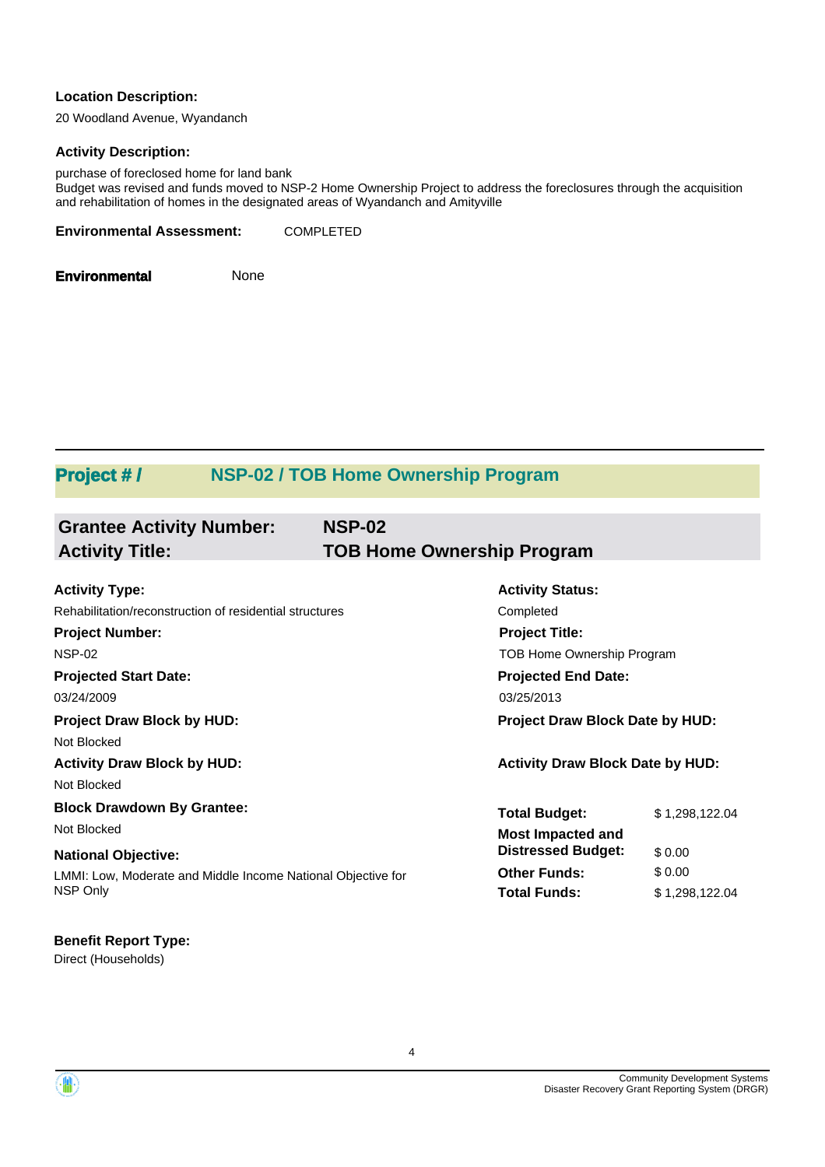### **Location Description:**

20 Woodland Avenue, Wyandanch

#### **Activity Description:**

purchase of foreclosed home for land bank Budget was revised and funds moved to NSP-2 Home Ownership Project to address the foreclosures through the acquisition and rehabilitation of homes in the designated areas of Wyandanch and Amityville

**Environmental Assessment:** COMPLETED

**Environmental** None

# **Project # / NSP-02 / TOB Home Ownership Program**

| <b>Grantee Activity Number:</b><br><b>Activity Title:</b>    | <b>NSP-02</b><br><b>TOB Home Ownership Program</b> |                |
|--------------------------------------------------------------|----------------------------------------------------|----------------|
| <b>Activity Type:</b>                                        | <b>Activity Status:</b>                            |                |
| Rehabilitation/reconstruction of residential structures      | Completed                                          |                |
| <b>Project Number:</b>                                       | <b>Project Title:</b>                              |                |
| <b>NSP-02</b>                                                | TOB Home Ownership Program                         |                |
| <b>Projected Start Date:</b>                                 | <b>Projected End Date:</b>                         |                |
| 03/24/2009                                                   | 03/25/2013                                         |                |
| <b>Project Draw Block by HUD:</b>                            | Project Draw Block Date by HUD:                    |                |
| Not Blocked                                                  |                                                    |                |
| <b>Activity Draw Block by HUD:</b>                           | <b>Activity Draw Block Date by HUD:</b>            |                |
| Not Blocked                                                  |                                                    |                |
| <b>Block Drawdown By Grantee:</b>                            | <b>Total Budget:</b>                               | \$1,298,122.04 |
| Not Blocked                                                  | <b>Most Impacted and</b>                           |                |
| <b>National Objective:</b>                                   | <b>Distressed Budget:</b>                          | \$0.00         |
| LMMI: Low, Moderate and Middle Income National Objective for | <b>Other Funds:</b>                                | \$0.00         |
| NSP Only                                                     | <b>Total Funds:</b>                                | \$1,298,122.04 |

# **Benefit Report Type:**

Direct (Households)

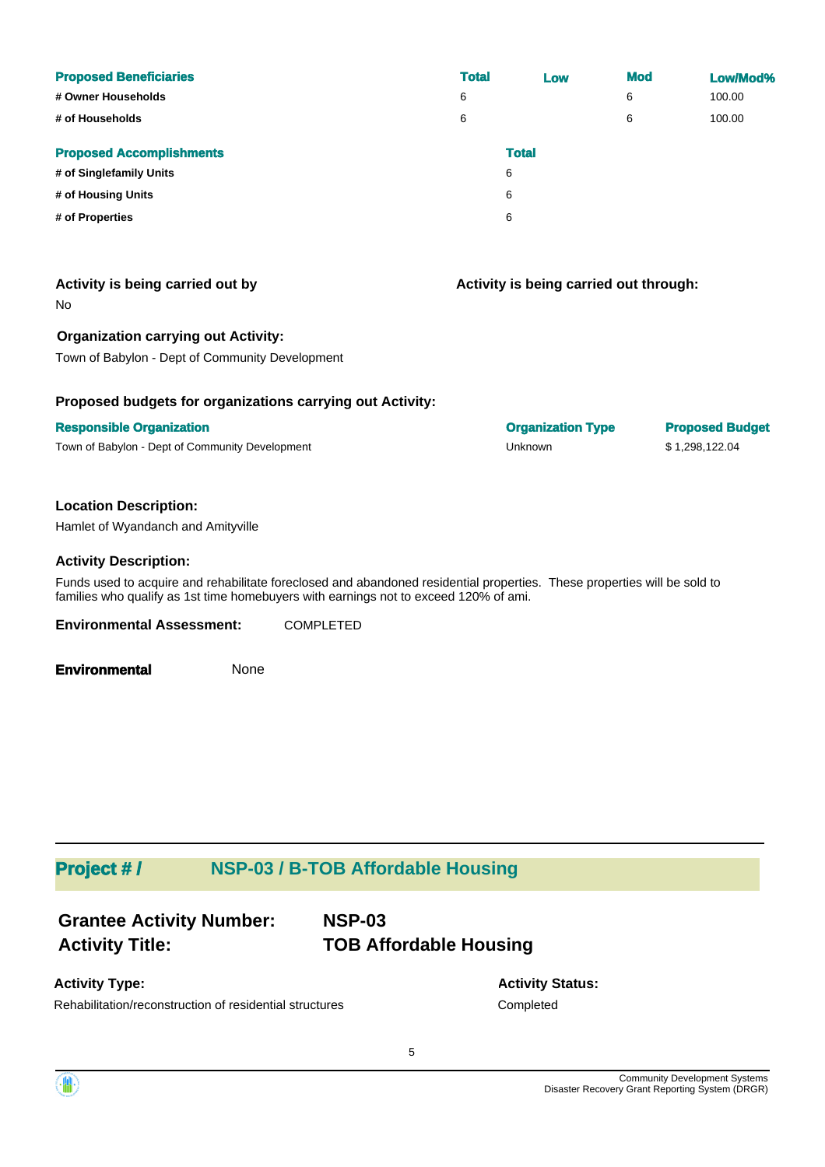| <b>Proposed Beneficiaries</b><br># Owner Households | <b>Total</b><br>6 | Low          | <b>Mod</b><br>6 | Low/Mod%<br>100.00 |
|-----------------------------------------------------|-------------------|--------------|-----------------|--------------------|
| # of Households                                     | 6                 |              | 6               | 100.00             |
| <b>Proposed Accomplishments</b>                     |                   | <b>Total</b> |                 |                    |
| # of Singlefamily Units                             |                   | 6            |                 |                    |
| # of Housing Units                                  |                   | 6            |                 |                    |
| # of Properties                                     |                   | 6            |                 |                    |

# **Activity is being carried out by**

No

## **Organization carrying out Activity:**

Town of Babylon - Dept of Community Development

## **Proposed budgets for organizations carrying out Activity:**

#### **Responsible Organization Organization Type Proposed Budget**

Town of Babylon - Dept of Community Development Community Community Development Community Development Unknown S 1,298,122.04

## **Location Description:**

Hamlet of Wyandanch and Amityville

#### **Activity Description:**

Funds used to acquire and rehabilitate foreclosed and abandoned residential properties. These properties will be sold to families who qualify as 1st time homebuyers with earnings not to exceed 120% of ami.

**Environmental Assessment:** COMPLETED

**Environmental** None

# **Project # / NSP-03 / B-TOB Affordable Housing**

| <b>Grantee Activity Number:</b> | <b>NSP-03</b>                 |
|---------------------------------|-------------------------------|
| <b>Activity Title:</b>          | <b>TOB Affordable Housing</b> |

# **Activity Type:**

**Activity Status:** Rehabilitation/reconstruction of residential structures Completed

5



**Activity is being carried out through:**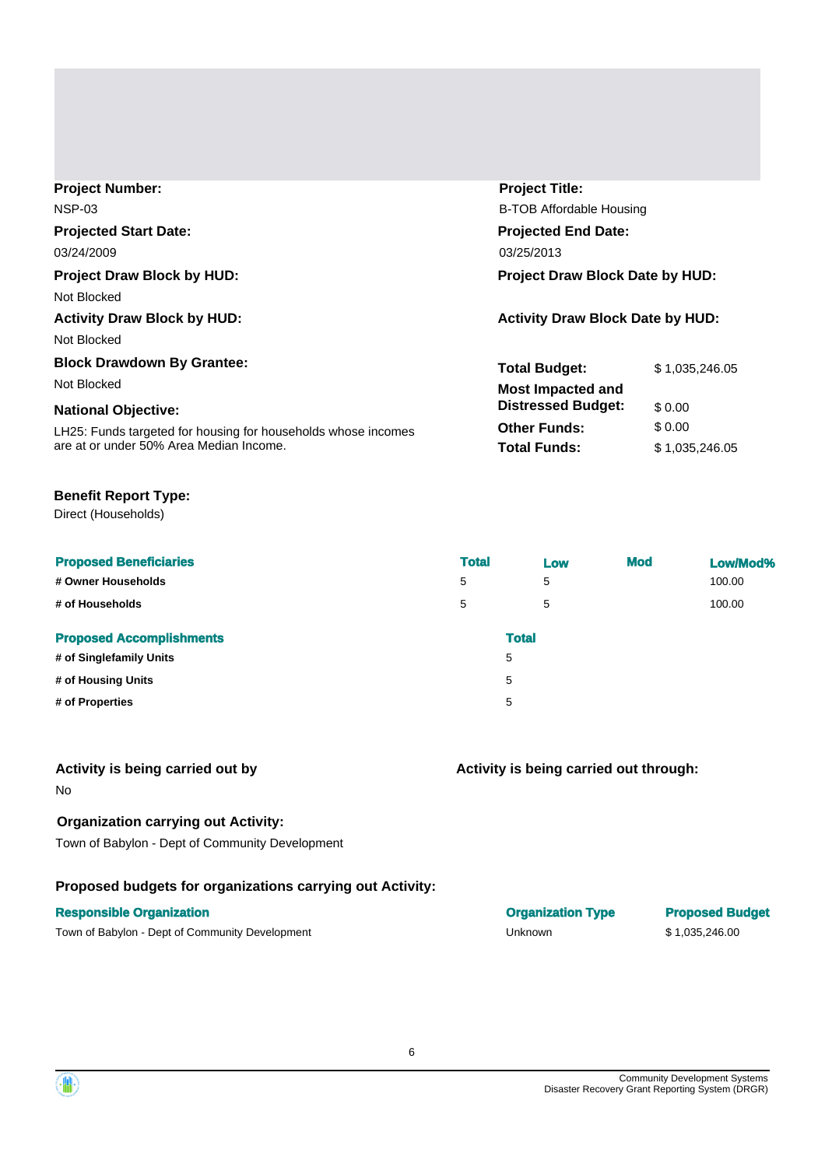| <b>Project Number:</b>                                        | <b>Project Title:</b>                   |                |  |
|---------------------------------------------------------------|-----------------------------------------|----------------|--|
| <b>NSP-03</b>                                                 | B-TOB Affordable Housing                |                |  |
| <b>Projected Start Date:</b>                                  | <b>Projected End Date:</b>              |                |  |
| 03/24/2009                                                    | 03/25/2013                              |                |  |
| <b>Project Draw Block by HUD:</b>                             | <b>Project Draw Block Date by HUD:</b>  |                |  |
| Not Blocked                                                   |                                         |                |  |
| <b>Activity Draw Block by HUD:</b>                            | <b>Activity Draw Block Date by HUD:</b> |                |  |
| Not Blocked                                                   |                                         |                |  |
| <b>Block Drawdown By Grantee:</b>                             | <b>Total Budget:</b>                    | \$1,035,246.05 |  |
| Not Blocked                                                   | <b>Most Impacted and</b>                |                |  |
| <b>National Objective:</b>                                    | <b>Distressed Budget:</b>               | \$0.00         |  |
| LH25: Funds targeted for housing for households whose incomes | <b>Other Funds:</b>                     | \$ 0.00        |  |
| are at or under 50% Area Median Income.                       | <b>Total Funds:</b>                     | \$1,035,246.05 |  |

## **Benefit Report Type:**

Direct (Households)

| <b>Proposed Beneficiaries</b>   | <b>Total</b> | Low          | <b>Mod</b> | Low/Mod% |
|---------------------------------|--------------|--------------|------------|----------|
| # Owner Households              | 5            | 5            |            | 100.00   |
| # of Households                 | 5            | 5            |            | 100.00   |
| <b>Proposed Accomplishments</b> |              | <b>Total</b> |            |          |
| # of Singlefamily Units         |              | 5            |            |          |
| # of Housing Units              |              | 5            |            |          |
| # of Properties                 |              | 5            |            |          |

#### **Activity is being carried out by**

No

## **Organization carrying out Activity:**

Town of Babylon - Dept of Community Development

# **Proposed budgets for organizations carrying out Activity:**

Town of Babylon - Dept of Community Development Community Community Development Community Development Unknown 5 1,035,246.00

# **Activity is being carried out through:**

**Responsible Organization COVID-100 COVID-100 COVID-100 COVID-100 COVID-100 COVID-100 COVID-100 COVID-100 COVID-100 COVID-100 COVID-100 COVID-100 COVID-100 COVID-100 COVID-100 COVID-100 COVID-100 COVID-100 COVID-100 COVI** 

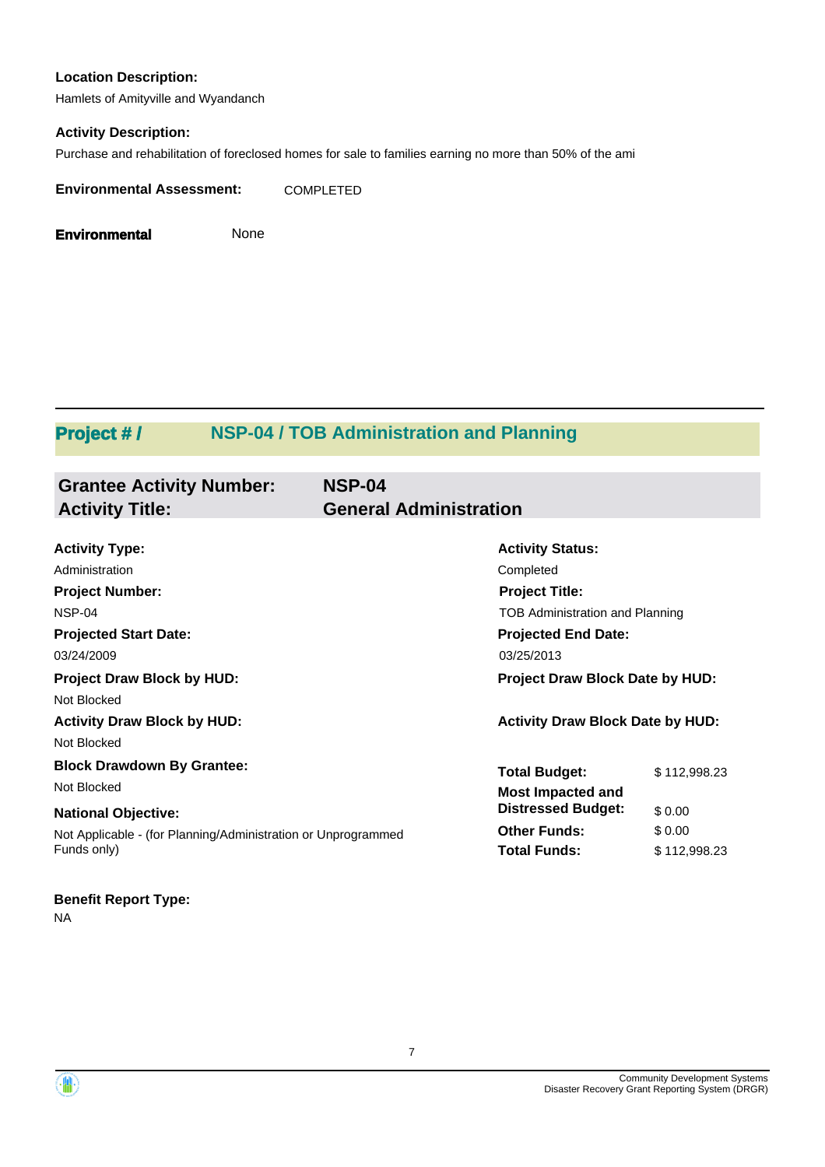## **Location Description:**

Hamlets of Amityville and Wyandanch

## **Activity Description:**

Purchase and rehabilitation of foreclosed homes for sale to families earning no more than 50% of the ami

**Environmental Assessment:** COMPLETED

**Environmental** None

# **Project # / NSP-04 / TOB Administration and Planning**

| <b>Grantee Activity Number:</b><br><b>Activity Title:</b>     | <b>NSP-04</b><br><b>General Administration</b> |                                 |  |
|---------------------------------------------------------------|------------------------------------------------|---------------------------------|--|
|                                                               |                                                |                                 |  |
| <b>Activity Type:</b>                                         | <b>Activity Status:</b>                        |                                 |  |
| Administration                                                | Completed                                      |                                 |  |
| <b>Project Number:</b>                                        | <b>Project Title:</b>                          |                                 |  |
| NSP-04                                                        | <b>TOB Administration and Planning</b>         |                                 |  |
| <b>Projected Start Date:</b>                                  | <b>Projected End Date:</b>                     |                                 |  |
| 03/24/2009                                                    | 03/25/2013                                     |                                 |  |
| <b>Project Draw Block by HUD:</b>                             |                                                | Project Draw Block Date by HUD: |  |
| Not Blocked                                                   |                                                |                                 |  |
| <b>Activity Draw Block by HUD:</b>                            | <b>Activity Draw Block Date by HUD:</b>        |                                 |  |
| Not Blocked                                                   |                                                |                                 |  |
| <b>Block Drawdown By Grantee:</b>                             | <b>Total Budget:</b>                           | \$112,998.23                    |  |
| Not Blocked                                                   | Most Impacted and                              |                                 |  |
| <b>National Objective:</b>                                    | <b>Distressed Budget:</b>                      | \$0.00                          |  |
| Not Applicable - (for Planning/Administration or Unprogrammed | <b>Other Funds:</b>                            | \$0.00                          |  |
| Funds only)                                                   | <b>Total Funds:</b>                            | \$112,998.23                    |  |
|                                                               |                                                |                                 |  |

# **Benefit Report Type:**

NA



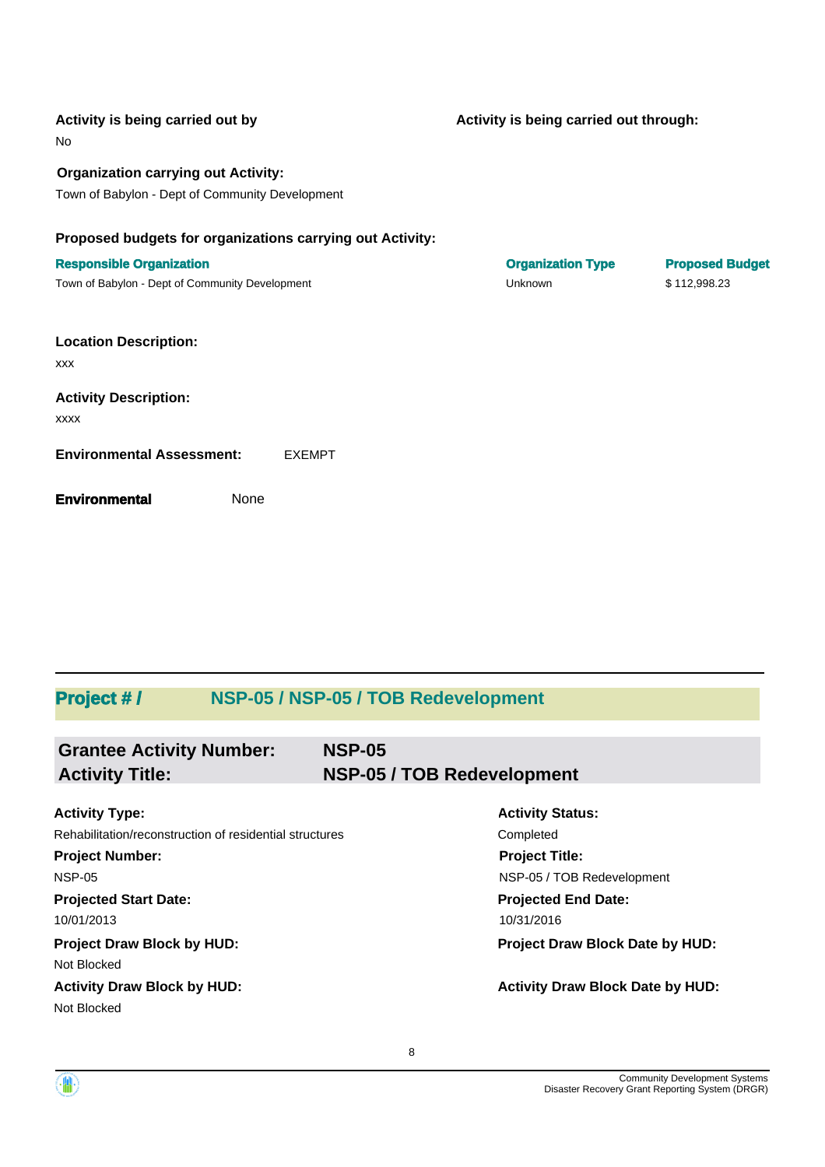| Activity is being carried out by<br>No                                                        | Activity is being carried out through: |                        |
|-----------------------------------------------------------------------------------------------|----------------------------------------|------------------------|
| <b>Organization carrying out Activity:</b><br>Town of Babylon - Dept of Community Development |                                        |                        |
| Proposed budgets for organizations carrying out Activity:                                     |                                        |                        |
| <b>Responsible Organization</b>                                                               | <b>Organization Type</b>               | <b>Proposed Budget</b> |
| Town of Babylon - Dept of Community Development                                               | Unknown                                | \$112,998.23           |
| <b>Location Description:</b><br><b>XXX</b>                                                    |                                        |                        |
| <b>Activity Description:</b>                                                                  |                                        |                        |
| <b>XXXX</b>                                                                                   |                                        |                        |
| <b>Environmental Assessment:</b><br><b>EXEMPT</b>                                             |                                        |                        |
| None<br><b>Environmental</b>                                                                  |                                        |                        |

# **Project # / NSP-05 / NSP-05 / TOB Redevelopment**

| <b>Grantee Activity Number:</b><br><b>Activity Title:</b> | <b>NSP-05</b><br>NSP-05 / TOB Redevelopment |
|-----------------------------------------------------------|---------------------------------------------|
| <b>Activity Type:</b>                                     | <b>Activity Status:</b>                     |
| Rehabilitation/reconstruction of residential structures   | Completed                                   |
| <b>Project Number:</b>                                    | <b>Project Title:</b>                       |
| <b>NSP-05</b>                                             | NSP-05 / TOB Redevelopment                  |
| <b>Projected Start Date:</b>                              | <b>Projected End Date:</b>                  |
| 10/01/2013                                                | 10/31/2016                                  |
| <b>Project Draw Block by HUD:</b>                         | <b>Project Draw Block Date by HUD:</b>      |
| Not Blocked                                               |                                             |
| <b>Activity Draw Block by HUD:</b>                        | <b>Activity Draw Block Date by HUD:</b>     |
| Not Blocked                                               |                                             |

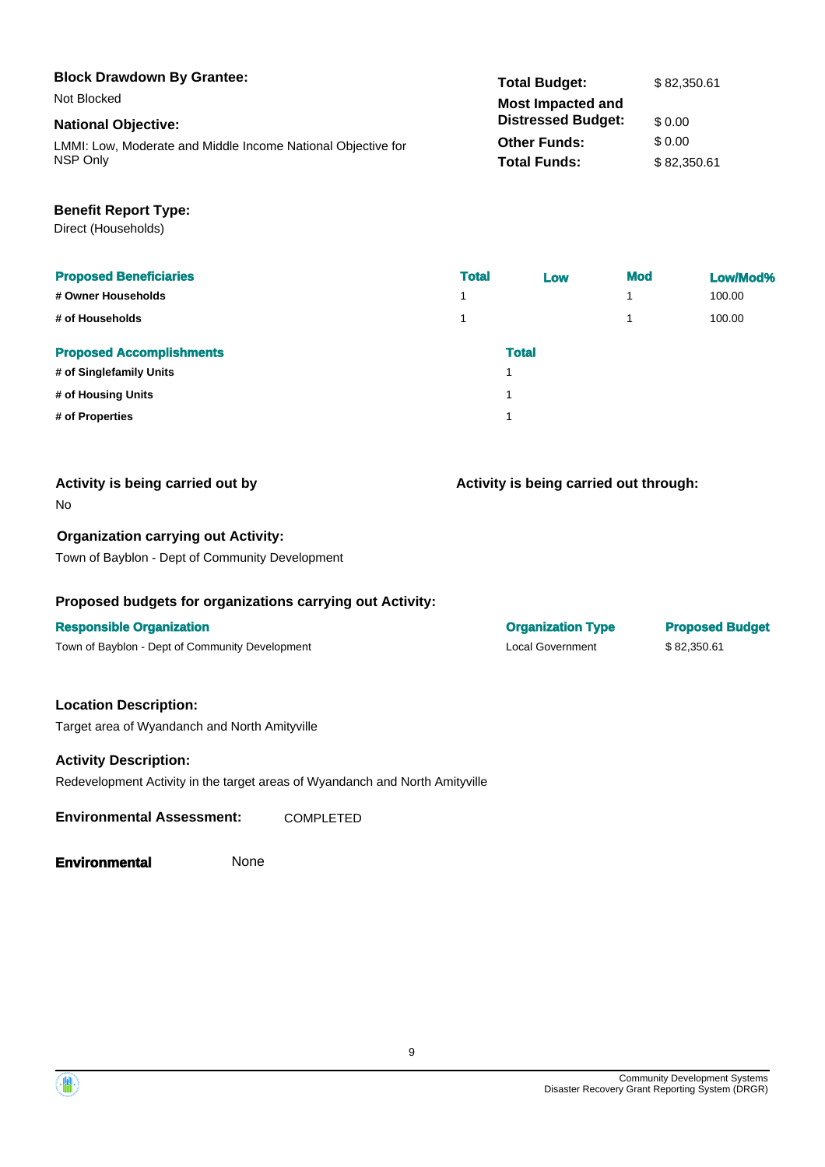| <b>Block Drawdown By Grantee:</b>                            | <b>Total Budget:</b>      | \$82,350.61 |
|--------------------------------------------------------------|---------------------------|-------------|
| Not Blocked                                                  | <b>Most Impacted and</b>  |             |
| <b>National Objective:</b>                                   | <b>Distressed Budget:</b> | \$0.00      |
| LMMI: Low, Moderate and Middle Income National Objective for | <b>Other Funds:</b>       | \$ 0.00     |
| NSP Only                                                     | <b>Total Funds:</b>       | \$82,350.61 |

## **Benefit Report Type:**

Direct (Households)

| <b>Proposed Beneficiaries</b>   | <b>Total</b> | Low          | <b>Mod</b> | Low/Mod% |
|---------------------------------|--------------|--------------|------------|----------|
| # Owner Households              | 4            |              | 4          | 100.00   |
| # of Households                 |              |              | и          | 100.00   |
| <b>Proposed Accomplishments</b> |              | <b>Total</b> |            |          |
| # of Singlefamily Units         |              |              |            |          |
| # of Housing Units              |              |              |            |          |
| # of Properties                 |              |              |            |          |

| Activity is being carried out by | Activity is being carried out t |
|----------------------------------|---------------------------------|
| No                               |                                 |

#### **Organization carrying out Activity:**

Town of Bayblon - Dept of Community Development

## **Proposed budgets for organizations carrying out Activity:**

#### **Responsible Organization Organization Type Proposed Budget**

Town of Bayblon - Dept of Community Development Community Local Government \$ 82,350.61

#### **Location Description:**

Target area of Wyandanch and North Amityville

#### **Activity Description:**

Redevelopment Activity in the target areas of Wyandanch and North Amityville

**Environmental Assessment:** COMPLETED

**Environmental** None

through:



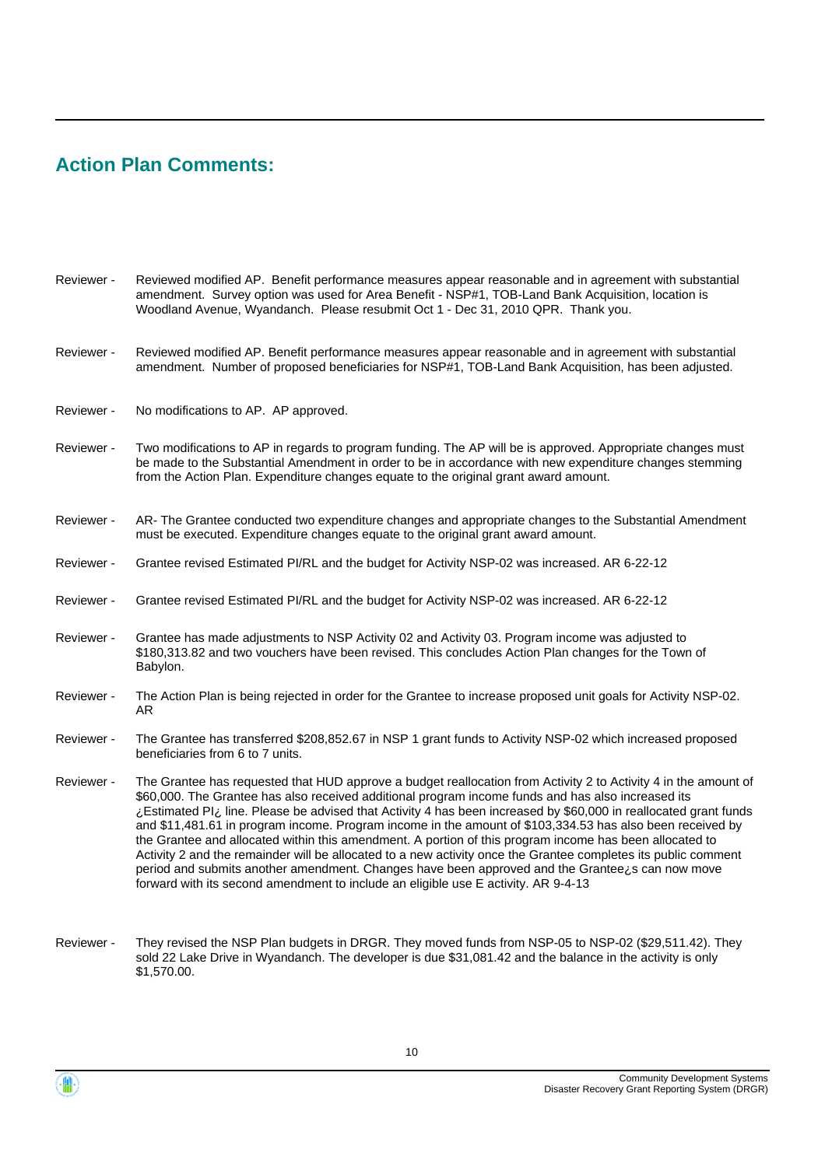# **Action Plan Comments:**

| Reviewer - | Reviewed modified AP. Benefit performance measures appear reasonable and in agreement with substantial<br>amendment. Survey option was used for Area Benefit - NSP#1, TOB-Land Bank Acquisition, location is<br>Woodland Avenue, Wyandanch. Please resubmit Oct 1 - Dec 31, 2010 QPR. Thank you.                                                                                                                                                                                                                                                                                                                                                                                                                                                                                                                                                                           |
|------------|----------------------------------------------------------------------------------------------------------------------------------------------------------------------------------------------------------------------------------------------------------------------------------------------------------------------------------------------------------------------------------------------------------------------------------------------------------------------------------------------------------------------------------------------------------------------------------------------------------------------------------------------------------------------------------------------------------------------------------------------------------------------------------------------------------------------------------------------------------------------------|
| Reviewer - | Reviewed modified AP. Benefit performance measures appear reasonable and in agreement with substantial<br>amendment. Number of proposed beneficiaries for NSP#1, TOB-Land Bank Acquisition, has been adjusted.                                                                                                                                                                                                                                                                                                                                                                                                                                                                                                                                                                                                                                                             |
| Reviewer - | No modifications to AP. AP approved.                                                                                                                                                                                                                                                                                                                                                                                                                                                                                                                                                                                                                                                                                                                                                                                                                                       |
| Reviewer - | Two modifications to AP in regards to program funding. The AP will be is approved. Appropriate changes must<br>be made to the Substantial Amendment in order to be in accordance with new expenditure changes stemming<br>from the Action Plan. Expenditure changes equate to the original grant award amount.                                                                                                                                                                                                                                                                                                                                                                                                                                                                                                                                                             |
| Reviewer - | AR- The Grantee conducted two expenditure changes and appropriate changes to the Substantial Amendment<br>must be executed. Expenditure changes equate to the original grant award amount.                                                                                                                                                                                                                                                                                                                                                                                                                                                                                                                                                                                                                                                                                 |
| Reviewer - | Grantee revised Estimated PI/RL and the budget for Activity NSP-02 was increased. AR 6-22-12                                                                                                                                                                                                                                                                                                                                                                                                                                                                                                                                                                                                                                                                                                                                                                               |
| Reviewer - | Grantee revised Estimated PI/RL and the budget for Activity NSP-02 was increased. AR 6-22-12                                                                                                                                                                                                                                                                                                                                                                                                                                                                                                                                                                                                                                                                                                                                                                               |
| Reviewer - | Grantee has made adjustments to NSP Activity 02 and Activity 03. Program income was adjusted to<br>\$180,313.82 and two vouchers have been revised. This concludes Action Plan changes for the Town of<br>Babylon.                                                                                                                                                                                                                                                                                                                                                                                                                                                                                                                                                                                                                                                         |
| Reviewer - | The Action Plan is being rejected in order for the Grantee to increase proposed unit goals for Activity NSP-02.<br>AR                                                                                                                                                                                                                                                                                                                                                                                                                                                                                                                                                                                                                                                                                                                                                      |
| Reviewer - | The Grantee has transferred \$208,852.67 in NSP 1 grant funds to Activity NSP-02 which increased proposed<br>beneficiaries from 6 to 7 units.                                                                                                                                                                                                                                                                                                                                                                                                                                                                                                                                                                                                                                                                                                                              |
| Reviewer - | The Grantee has requested that HUD approve a budget reallocation from Activity 2 to Activity 4 in the amount of<br>\$60,000. The Grantee has also received additional program income funds and has also increased its<br>¿Estimated Pl ine. Please be advised that Activity 4 has been increased by \$60,000 in reallocated grant funds<br>and \$11,481.61 in program income. Program income in the amount of \$103,334.53 has also been received by<br>the Grantee and allocated within this amendment. A portion of this program income has been allocated to<br>Activity 2 and the remainder will be allocated to a new activity once the Grantee completes its public comment<br>period and submits another amendment. Changes have been approved and the Grantee¿s can now move<br>forward with its second amendment to include an eligible use E activity. AR 9-4-13 |

They revised the NSP Plan budgets in DRGR. They moved funds from NSP-05 to NSP-02 (\$29,511.42). They sold 22 Lake Drive in Wyandanch. The developer is due \$31,081.42 and the balance in the activity is only \$1,570.00. Reviewer -